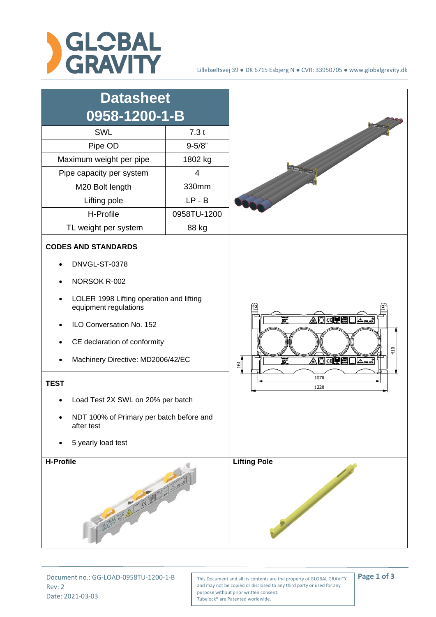

## Lillebæltsvej 39 ● DK 6715 Esbjerg N ● CVR: 33950705 ● www.globalgravity.dk



Rev: 2 Date: 2021-03-03

Document no.: GG-LOAD-0958TU-1200-1-B This Document and all its contents are the property of GLOBAL GRAVITY **Page 1 of 3** and may not be copied or disclosed to any third party or used for any purpose without prior written consent. Tubelock® are Patented worldwide.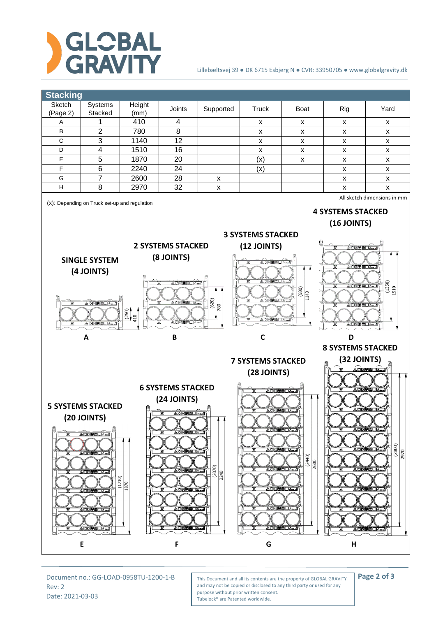

## Lillebæltsvej 39 ● DK 6715 Esbjerg N ● CVR: 33950705 ● www.globalgravity.dk



Rev: 2 Date: 2021-03-03

Document no.: GG-LOAD-0958TU-1200-1-B This Document and all its contents are the property of GLOBAL GRAVITY **Page 2 of 3** and may not be copied or disclosed to any third party or used for any purpose without prior written consent. Tubelock® are Patented worldwide.